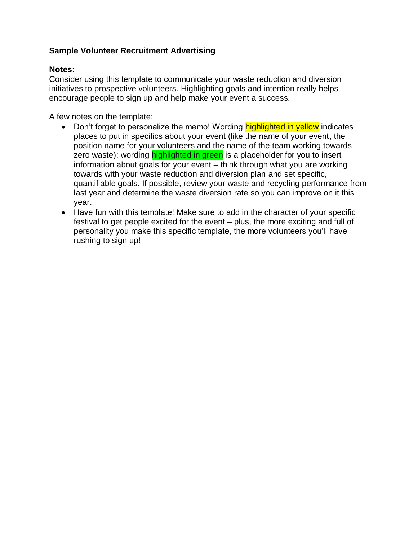# **Sample Volunteer Recruitment Advertising**

### **Notes:**

Consider using this template to communicate your waste reduction and diversion initiatives to prospective volunteers. Highlighting goals and intention really helps encourage people to sign up and help make your event a success.

A few notes on the template:

- Don't forget to personalize the memo! Wording highlighted in yellow indicates places to put in specifics about your event (like the name of your event, the position name for your volunteers and the name of the team working towards zero waste); wording **highlighted in green** is a placeholder for you to insert information about goals for your event – think through what you are working towards with your waste reduction and diversion plan and set specific, quantifiable goals. If possible, review your waste and recycling performance from last year and determine the waste diversion rate so you can improve on it this year.
- Have fun with this template! Make sure to add in the character of your specific festival to get people excited for the event – plus, the more exciting and full of personality you make this specific template, the more volunteers you'll have rushing to sign up!